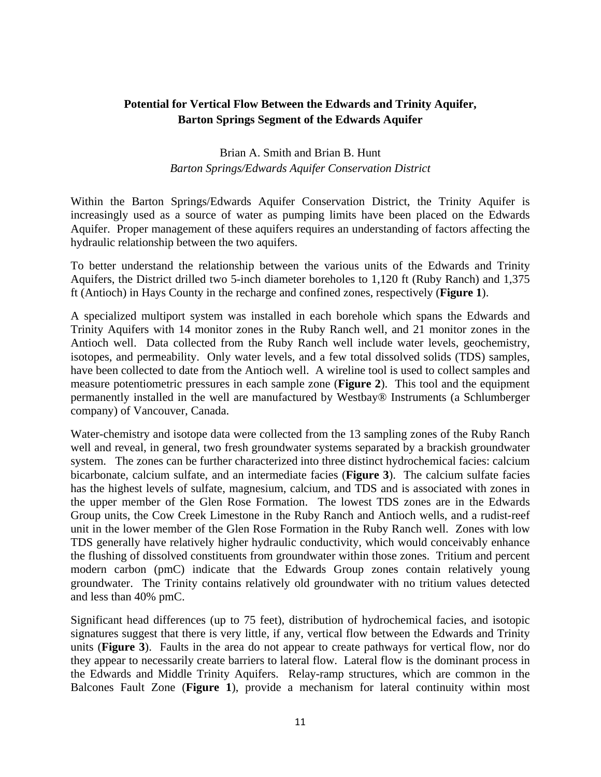## **Potential for Vertical Flow Between the Edwards and Trinity Aquifer, Barton Springs Segment of the Edwards Aquifer**

## Brian A. Smith and Brian B. Hunt *Barton Springs/Edwards Aquifer Conservation District*

Within the Barton Springs/Edwards Aquifer Conservation District, the Trinity Aquifer is increasingly used as a source of water as pumping limits have been placed on the Edwards Aquifer. Proper management of these aquifers requires an understanding of factors affecting the hydraulic relationship between the two aquifers.

To better understand the relationship between the various units of the Edwards and Trinity Aquifers, the District drilled two 5-inch diameter boreholes to 1,120 ft (Ruby Ranch) and 1,375 ft (Antioch) in Hays County in the recharge and confined zones, respectively (**Figure 1**).

A specialized multiport system was installed in each borehole which spans the Edwards and Trinity Aquifers with 14 monitor zones in the Ruby Ranch well, and 21 monitor zones in the Antioch well. Data collected from the Ruby Ranch well include water levels, geochemistry, isotopes, and permeability. Only water levels, and a few total dissolved solids (TDS) samples, have been collected to date from the Antioch well. A wireline tool is used to collect samples and measure potentiometric pressures in each sample zone (**Figure 2**). This tool and the equipment permanently installed in the well are manufactured by Westbay® Instruments (a Schlumberger company) of Vancouver, Canada.

Water-chemistry and isotope data were collected from the 13 sampling zones of the Ruby Ranch well and reveal, in general, two fresh groundwater systems separated by a brackish groundwater system. The zones can be further characterized into three distinct hydrochemical facies: calcium bicarbonate, calcium sulfate, and an intermediate facies (**Figure 3**). The calcium sulfate facies has the highest levels of sulfate, magnesium, calcium, and TDS and is associated with zones in the upper member of the Glen Rose Formation. The lowest TDS zones are in the Edwards Group units, the Cow Creek Limestone in the Ruby Ranch and Antioch wells, and a rudist-reef unit in the lower member of the Glen Rose Formation in the Ruby Ranch well. Zones with low TDS generally have relatively higher hydraulic conductivity, which would conceivably enhance the flushing of dissolved constituents from groundwater within those zones. Tritium and percent modern carbon (pmC) indicate that the Edwards Group zones contain relatively young groundwater. The Trinity contains relatively old groundwater with no tritium values detected and less than 40% pmC.

Significant head differences (up to 75 feet), distribution of hydrochemical facies, and isotopic signatures suggest that there is very little, if any, vertical flow between the Edwards and Trinity units (**Figure 3**). Faults in the area do not appear to create pathways for vertical flow, nor do they appear to necessarily create barriers to lateral flow. Lateral flow is the dominant process in the Edwards and Middle Trinity Aquifers. Relay-ramp structures, which are common in the Balcones Fault Zone (**Figure 1**), provide a mechanism for lateral continuity within most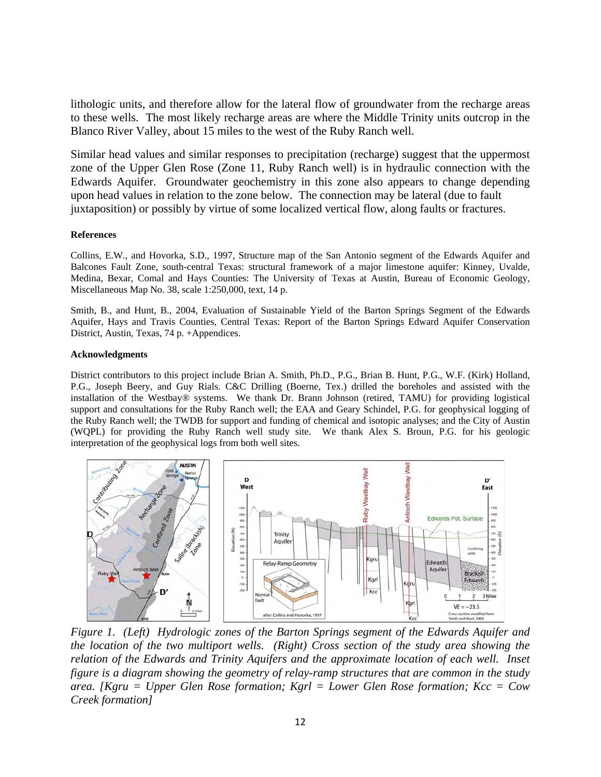lithologic units, and therefore allow for the lateral flow of groundwater from the recharge areas to these wells. The most likely recharge areas are where the Middle Trinity units outcrop in the Blanco River Valley, about 15 miles to the west of the Ruby Ranch well.

Similar head values and similar responses to precipitation (recharge) suggest that the uppermost zone of the Upper Glen Rose (Zone 11, Ruby Ranch well) is in hydraulic connection with the Edwards Aquifer. Groundwater geochemistry in this zone also appears to change depending upon head values in relation to the zone below. The connection may be lateral (due to fault juxtaposition) or possibly by virtue of some localized vertical flow, along faults or fractures.

## **References**

Collins, E.W., and Hovorka, S.D., 1997, Structure map of the San Antonio segment of the Edwards Aquifer and Balcones Fault Zone, south-central Texas: structural framework of a major limestone aquifer: Kinney, Uvalde, Medina, Bexar, Comal and Hays Counties: The University of Texas at Austin, Bureau of Economic Geology, Miscellaneous Map No. 38, scale 1:250,000, text, 14 p.

Smith, B., and Hunt, B., 2004, Evaluation of Sustainable Yield of the Barton Springs Segment of the Edwards Aquifer, Hays and Travis Counties, Central Texas: Report of the Barton Springs Edward Aquifer Conservation District, Austin, Texas, 74 p. +Appendices.

## **Acknowledgments**

District contributors to this project include Brian A. Smith, Ph.D., P.G., Brian B. Hunt, P.G., W.F. (Kirk) Holland, P.G., Joseph Beery, and Guy Rials. C&C Drilling (Boerne, Tex.) drilled the boreholes and assisted with the installation of the Westbay® systems. We thank Dr. Brann Johnson (retired, TAMU) for providing logistical support and consultations for the Ruby Ranch well; the EAA and Geary Schindel, P.G. for geophysical logging of the Ruby Ranch well; the TWDB for support and funding of chemical and isotopic analyses; and the City of Austin (WQPL) for providing the Ruby Ranch well study site. We thank Alex S. Broun, P.G. for his geologic interpretation of the geophysical logs from both well sites.



*Figure 1. (Left) Hydrologic zones of the Barton Springs segment of the Edwards Aquifer and the location of the two multiport wells. (Right) Cross section of the study area showing the relation of the Edwards and Trinity Aquifers and the approximate location of each well. Inset figure is a diagram showing the geometry of relay-ramp structures that are common in the study area. [Kgru = Upper Glen Rose formation; Kgrl = Lower Glen Rose formation; Kcc = Cow Creek formation]*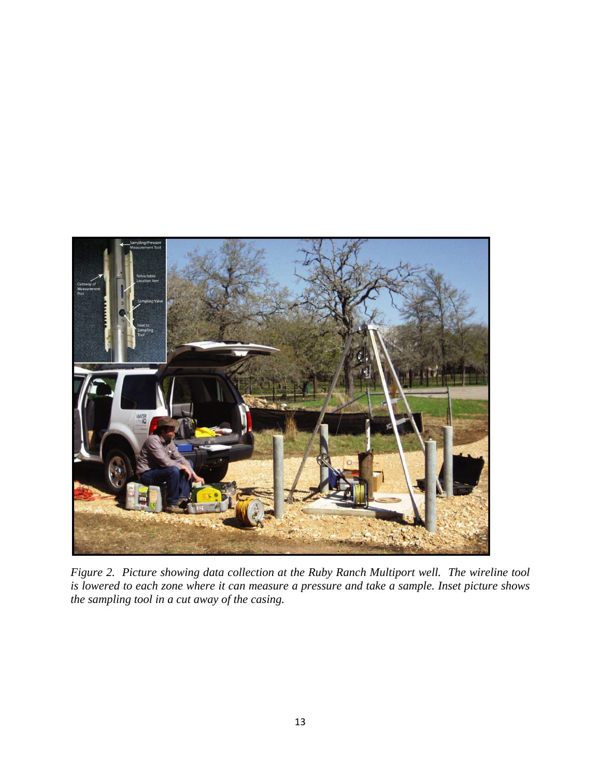

*Figure 2. Picture showing data collection at the Ruby Ranch Multiport well. The wireline tool is lowered to each zone where it can measure a pressure and take a sample. Inset picture shows the sampling tool in a cut away of the casing.*